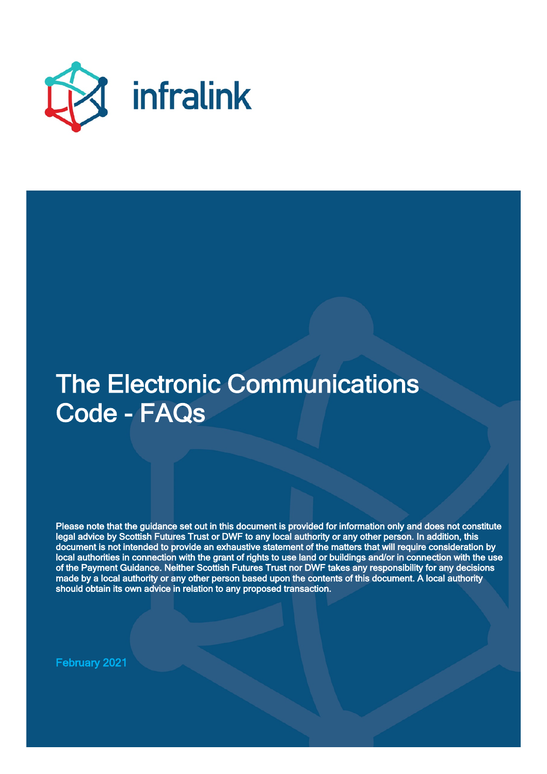

# The Electronic Communications Code - FAQs

Please note that the guidance set out in this document is provided for information only and does not constitute legal advice by Scottish Futures Trust or DWF to any local authority or any other person. In addition, this document is not intended to provide an exhaustive statement of the matters that will require consideration by local authorities in connection with the grant of rights to use land or buildings and/or in connection with the use of the Payment Guidance. Neither Scottish Futures Trust nor DWF takes any responsibility for any decisions made by a local authority or any other person based upon the contents of this document. A local authority should obtain its own advice in relation to any proposed transaction.

February 2021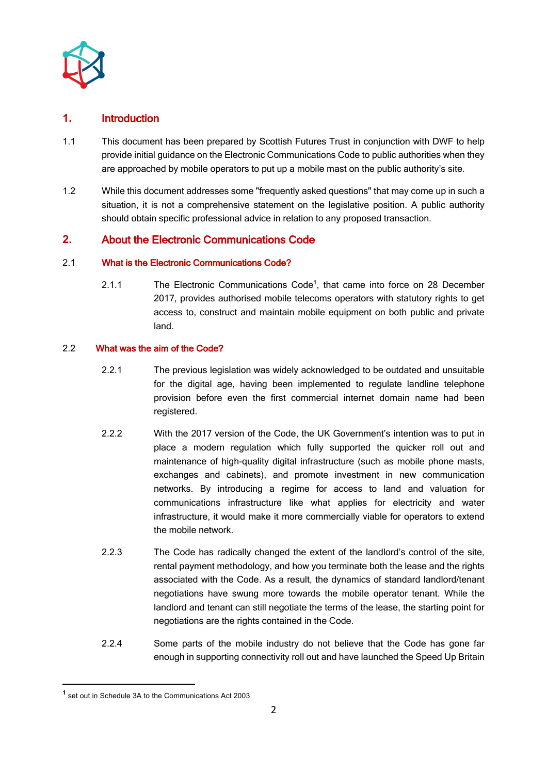

# **1.** Introduction

- 1.1 This document has been prepared by Scottish Futures Trust in conjunction with DWF to help provide initial guidance on the Electronic Communications Code to public authorities when they are approached by mobile operators to put up a mobile mast on the public authority's site.
- 1.2 While this document addresses some "frequently asked questions" that may come up in such a situation, it is not a comprehensive statement on the legislative position. A public authority should obtain specific professional advice in relation to any proposed transaction.

# **2.** About the Electronic Communications Code

## 2.1 What is the Electronic Communications Code?

2.1.1 The Electronic Communications Code**<sup>1</sup>**, that came into force on 28 December 2017, provides authorised mobile telecoms operators with statutory rights to get access to, construct and maintain mobile equipment on both public and private land.

## 2.2 What was the aim of the Code?

- 2.2.1 The previous legislation was widely acknowledged to be outdated and unsuitable for the digital age, having been implemented to regulate landline telephone provision before even the first commercial internet domain name had been registered.
- 2.2.2 With the 2017 version of the Code, the UK Government's intention was to put in place a modern regulation which fully supported the quicker roll out and maintenance of high-quality digital infrastructure (such as mobile phone masts, exchanges and cabinets), and promote investment in new communication networks. By introducing a regime for access to land and valuation for communications infrastructure like what applies for electricity and water infrastructure, it would make it more commercially viable for operators to extend the mobile network.
- 2.2.3 The Code has radically changed the extent of the landlord's control of the site, rental payment methodology, and how you terminate both the lease and the rights associated with the Code. As a result, the dynamics of standard landlord/tenant negotiations have swung more towards the mobile operator tenant. While the landlord and tenant can still negotiate the terms of the lease, the starting point for negotiations are the rights contained in the Code.
- 2.2.4 Some parts of the mobile industry do not believe that the Code has gone far enough in supporting connectivity roll out and have launched the Speed Up Britain

**<sup>1</sup>** set out in Schedule 3A to the Communications Act 2003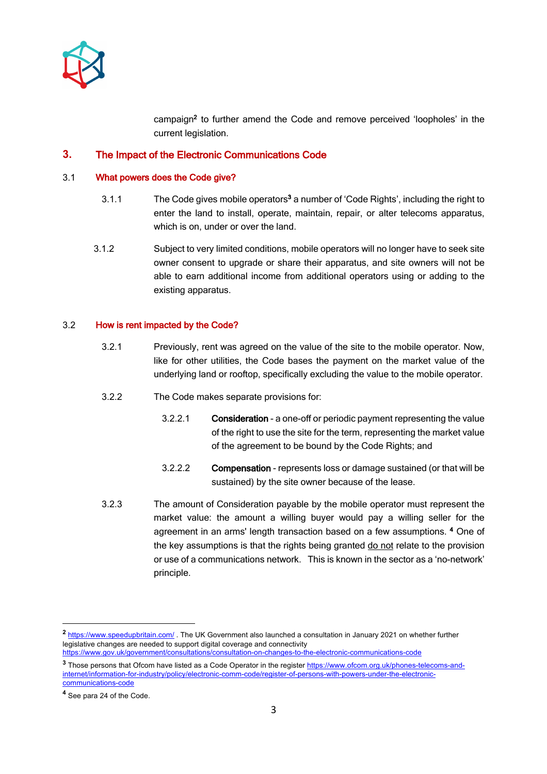

campaign2 to further amend the Code and remove perceived 'loopholes' in the current legislation.

## **3.** The Impact of the Electronic Communications Code

#### 3.1 What powers does the Code give?

- 3.1.1 The Code gives mobile operators<sup>3</sup> a number of 'Code Rights', including the right to enter the land to install, operate, maintain, repair, or alter telecoms apparatus, which is on, under or over the land.
- 3.1.2 Subject to very limited conditions, mobile operators will no longer have to seek site owner consent to upgrade or share their apparatus, and site owners will not be able to earn additional income from additional operators using or adding to the existing apparatus.

#### 3.2 How is rent impacted by the Code?

- 3.2.1 Previously, rent was agreed on the value of the site to the mobile operator. Now, like for other utilities, the Code bases the payment on the market value of the underlying land or rooftop, specifically excluding the value to the mobile operator.
- 3.2.2 The Code makes separate provisions for:
	- 3.2.2.1 Consideration a one-off or periodic payment representing the value of the right to use the site for the term, representing the market value of the agreement to be bound by the Code Rights; and
	- 3.2.2.2 Compensation represents loss or damage sustained (or that will be sustained) by the site owner because of the lease.
- 3.2.3 The amount of Consideration payable by the mobile operator must represent the market value: the amount a willing buyer would pay a willing seller for the agreement in an arms' length transaction based on a few assumptions. 4 One of the key assumptions is that the rights being granted do not relate to the provision or use of a communications network. This is known in the sector as a 'no-network' principle.

**<sup>2</sup>** https://www.speedupbritain.com/ . The UK Government also launched a consultation in January 2021 on whether further legislative changes are needed to support digital coverage and connectivity https://www.gov.uk/government/consultations/consultation-on-changes-to-the-electronic-communications-code

<sup>&</sup>lt;sup>3</sup> Those persons that Ofcom have listed as a Code Operator in the register https://www.ofcom.org.uk/phones-telecoms-andinternet/information-for-industry/policy/electronic-comm-code/register-of-persons-with-powers-under-the-electroniccommunications-code

**<sup>4</sup>** See para 24 of the Code.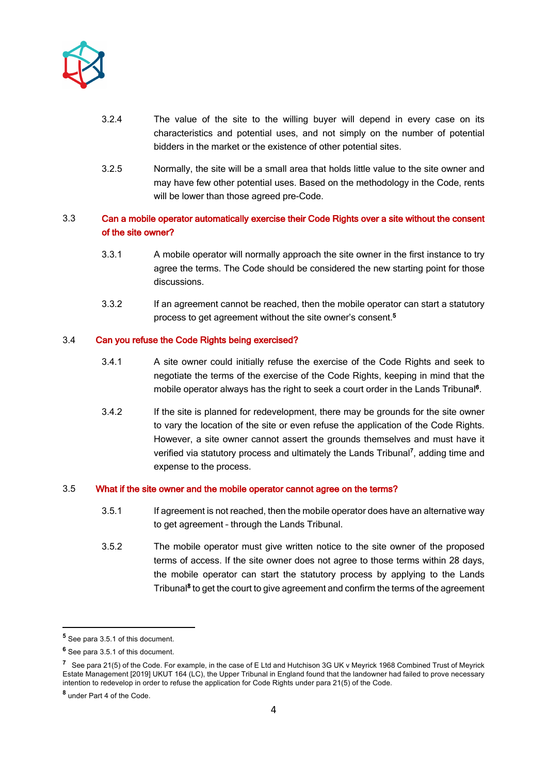

- 3.2.4 The value of the site to the willing buyer will depend in every case on its characteristics and potential uses, and not simply on the number of potential bidders in the market or the existence of other potential sites.
- 3.2.5 Normally, the site will be a small area that holds little value to the site owner and may have few other potential uses. Based on the methodology in the Code, rents will be lower than those agreed pre-Code.

# 3.3 Can a mobile operator automatically exercise their Code Rights over a site without the consent of the site owner?

- 3.3.1 A mobile operator will normally approach the site owner in the first instance to try agree the terms. The Code should be considered the new starting point for those discussions.
- 3.3.2 If an agreement cannot be reached, then the mobile operator can start a statutory process to get agreement without the site owner's consent.5

#### 3.4 Can you refuse the Code Rights being exercised?

- 3.4.1 A site owner could initially refuse the exercise of the Code Rights and seek to negotiate the terms of the exercise of the Code Rights, keeping in mind that the mobile operator always has the right to seek a court order in the Lands Tribunal<sup>6</sup>.
- 3.4.2 If the site is planned for redevelopment, there may be grounds for the site owner to vary the location of the site or even refuse the application of the Code Rights. However, a site owner cannot assert the grounds themselves and must have it verified via statutory process and ultimately the Lands Tribunal**<sup>7</sup>** , adding time and expense to the process.

#### 3.5 What if the site owner and the mobile operator cannot agree on the terms?

- 3.5.1 If agreement is not reached, then the mobile operator does have an alternative way to get agreement – through the Lands Tribunal.
- 3.5.2 The mobile operator must give written notice to the site owner of the proposed terms of access. If the site owner does not agree to those terms within 28 days, the mobile operator can start the statutory process by applying to the Lands Tribunal<sup>8</sup> to get the court to give agreement and confirm the terms of the agreement

**<sup>5</sup>** See para 3.5.1 of this document.

**<sup>6</sup>** See para 3.5.1 of this document.

**<sup>7</sup>** See para 21(5) of the Code. For example, in the case of E Ltd and Hutchison 3G UK v Meyrick 1968 Combined Trust of Meyrick Estate Management [2019] UKUT 164 (LC), the Upper Tribunal in England found that the landowner had failed to prove necessary intention to redevelop in order to refuse the application for Code Rights under para 21(5) of the Code.

**<sup>8</sup>** under Part 4 of the Code.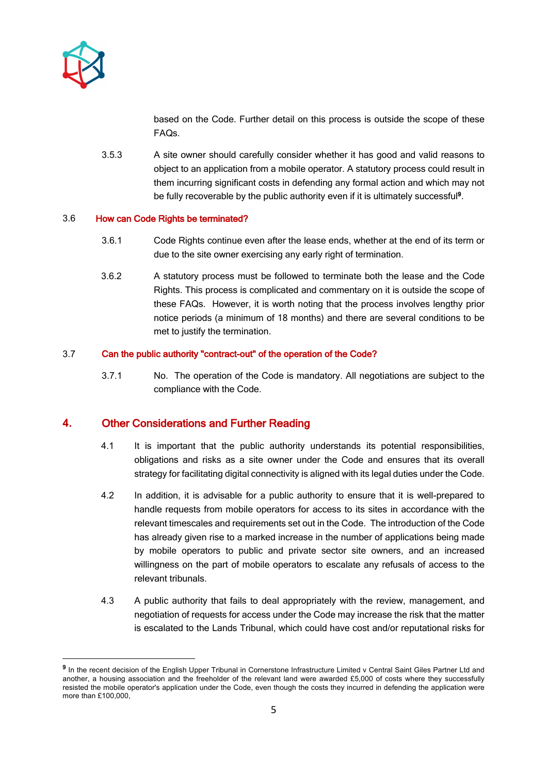

based on the Code. Further detail on this process is outside the scope of these FAQs.

3.5.3 A site owner should carefully consider whether it has good and valid reasons to object to an application from a mobile operator. A statutory process could result in them incurring significant costs in defending any formal action and which may not be fully recoverable by the public authority even if it is ultimately successful<sup>9</sup>.

#### 3.6 How can Code Rights be terminated?

- 3.6.1 Code Rights continue even after the lease ends, whether at the end of its term or due to the site owner exercising any early right of termination.
- 3.6.2 A statutory process must be followed to terminate both the lease and the Code Rights. This process is complicated and commentary on it is outside the scope of these FAQs. However, it is worth noting that the process involves lengthy prior notice periods (a minimum of 18 months) and there are several conditions to be met to justify the termination.

#### 3.7 Can the public authority "contract-out" of the operation of the Code?

3.7.1 No. The operation of the Code is mandatory. All negotiations are subject to the compliance with the Code.

# **4.** Other Considerations and Further Reading

- 4.1 It is important that the public authority understands its potential responsibilities, obligations and risks as a site owner under the Code and ensures that its overall strategy for facilitating digital connectivity is aligned with its legal duties under the Code.
- 4.2 In addition, it is advisable for a public authority to ensure that it is well-prepared to handle requests from mobile operators for access to its sites in accordance with the relevant timescales and requirements set out in the Code. The introduction of the Code has already given rise to a marked increase in the number of applications being made by mobile operators to public and private sector site owners, and an increased willingness on the part of mobile operators to escalate any refusals of access to the relevant tribunals.
- 4.3 A public authority that fails to deal appropriately with the review, management, and negotiation of requests for access under the Code may increase the risk that the matter is escalated to the Lands Tribunal, which could have cost and/or reputational risks for

<sup>&</sup>lt;sup>9</sup> In the recent decision of the English Upper Tribunal in Cornerstone Infrastructure Limited v Central Saint Giles Partner Ltd and another, a housing association and the freeholder of the relevant land were awarded £5,000 of costs where they successfully resisted the mobile operator's application under the Code, even though the costs they incurred in defending the application were more than £100,000,